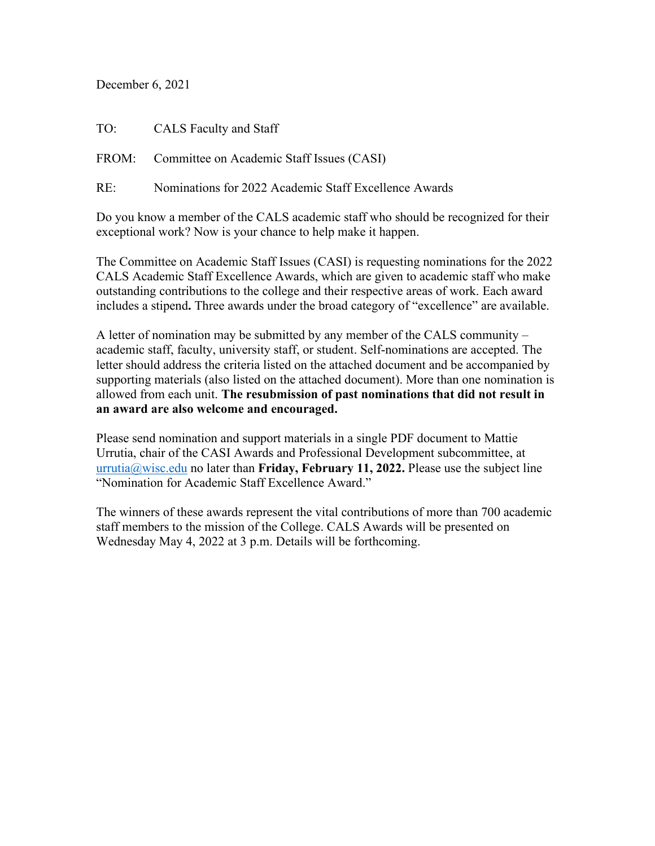December 6, 2021

|                                                                                                                                                    | TO: CALS Faculty and Staff                            |
|----------------------------------------------------------------------------------------------------------------------------------------------------|-------------------------------------------------------|
|                                                                                                                                                    | FROM: Committee on Academic Staff Issues (CASI)       |
| RE:                                                                                                                                                | Nominations for 2022 Academic Staff Excellence Awards |
| Do you know a member of the CALS academic staff who should be recognized for their<br>exceptional work? Now is your chance to help make it happen. |                                                       |

The Committee on Academic Staff Issues (CASI) is requesting nominations for the 2022 CALS Academic Staff Excellence Awards, which are given to academic staff who make outstanding contributions to the college and their respective areas of work. Each award includes a stipend**.** Three awards under the broad category of "excellence" are available.

A letter of nomination may be submitted by any member of the CALS community – academic staff, faculty, university staff, or student. Self-nominations are accepted. The letter should address the criteria listed on the attached document and be accompanied by supporting materials (also listed on the attached document). More than one nomination is allowed from each unit. **The resubmission of past nominations that did not result in an award are also welcome and encouraged.** 

Please send nomination and support materials in a single PDF document to Mattie Urrutia, chair of the CASI Awards and Professional Development subcommittee, at [urrutia@wisc.edu](mailto:urrutia@wisc.edu) no later than **Friday, February 11, 2022.** Please use the subject line "Nomination for Academic Staff Excellence Award."

The winners of these awards represent the vital contributions of more than 700 academic staff members to the mission of the College. CALS Awards will be presented on Wednesday May 4, 2022 at 3 p.m. Details will be forthcoming.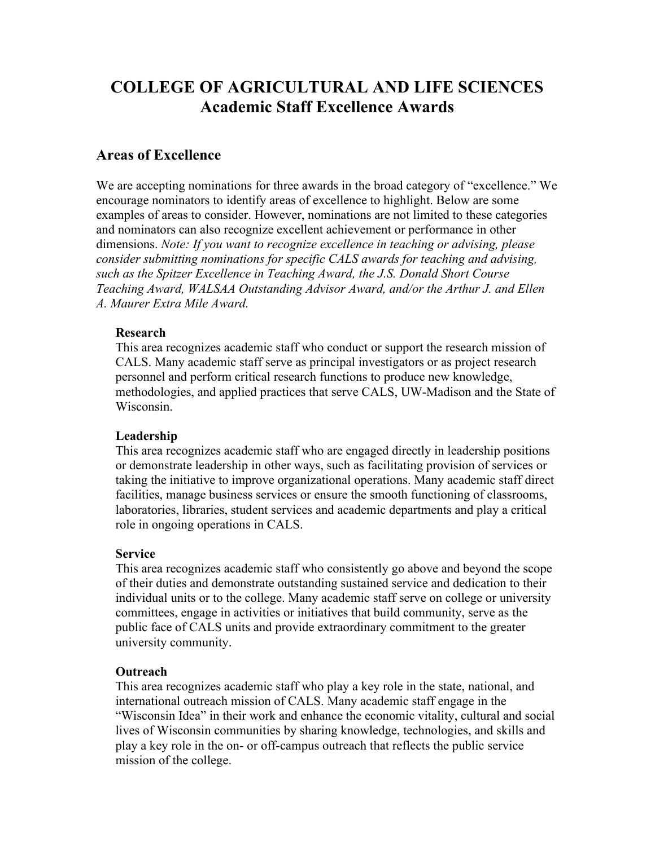# **COLLEGE OF AGRICULTURAL AND LIFE SCIENCES Academic Staff Excellence Awards**

### **Areas of Excellence**

We are accepting nominations for three awards in the broad category of "excellence." We encourage nominators to identify areas of excellence to highlight. Below are some examples of areas to consider. However, nominations are not limited to these categories and nominators can also recognize excellent achievement or performance in other dimensions. *Note: If you want to recognize excellence in teaching or advising, please consider submitting nominations for specific CALS awards for teaching and advising, such as the Spitzer Excellence in Teaching Award, the J.S. Donald Short Course Teaching Award, WALSAA Outstanding Advisor Award, and/or the Arthur J. and Ellen A. Maurer Extra Mile Award.*

#### **Research**

This area recognizes academic staff who conduct or support the research mission of CALS. Many academic staff serve as principal investigators or as project research personnel and perform critical research functions to produce new knowledge, methodologies, and applied practices that serve CALS, UW-Madison and the State of Wisconsin.

#### **Leadership**

This area recognizes academic staff who are engaged directly in leadership positions or demonstrate leadership in other ways, such as facilitating provision of services or taking the initiative to improve organizational operations. Many academic staff direct facilities, manage business services or ensure the smooth functioning of classrooms, laboratories, libraries, student services and academic departments and play a critical role in ongoing operations in CALS.

#### **Service**

This area recognizes academic staff who consistently go above and beyond the scope of their duties and demonstrate outstanding sustained service and dedication to their individual units or to the college. Many academic staff serve on college or university committees, engage in activities or initiatives that build community, serve as the public face of CALS units and provide extraordinary commitment to the greater university community.

#### **Outreach**

This area recognizes academic staff who play a key role in the state, national, and international outreach mission of CALS. Many academic staff engage in the "Wisconsin Idea" in their work and enhance the economic vitality, cultural and social lives of Wisconsin communities by sharing knowledge, technologies, and skills and play a key role in the on- or off-campus outreach that reflects the public service mission of the college.